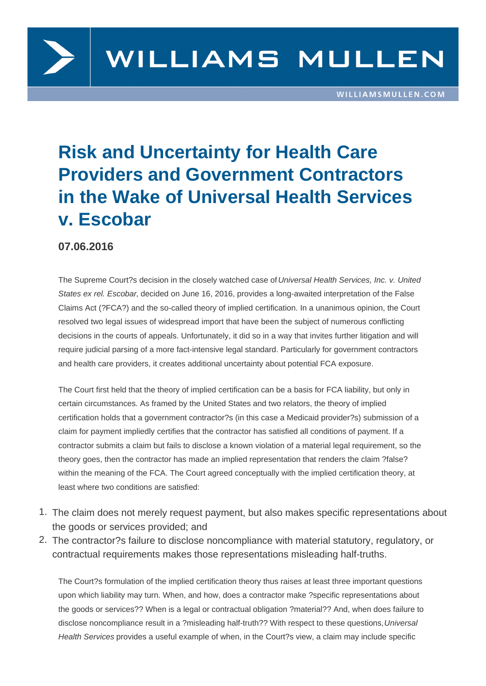

## **Risk and Uncertainty for Health Care Providers and Government Contractors in the Wake of Universal Health Services v. Escobar**

## **07.06.2016**

The Supreme Court?s decision in the closely watched case of Universal Health Services, Inc. v. United States ex rel. Escobar, decided on June 16, 2016, provides a long-awaited interpretation of the False Claims Act (?FCA?) and the so-called theory of implied certification. In a unanimous opinion, the Court resolved two legal issues of widespread import that have been the subject of numerous conflicting decisions in the courts of appeals. Unfortunately, it did so in a way that invites further litigation and will require judicial parsing of a more fact-intensive legal standard. Particularly for government contractors and health care providers, it creates additional uncertainty about potential FCA exposure.

The Court first held that the theory of implied certification can be a basis for FCA liability, but only in certain circumstances. As framed by the United States and two relators, the theory of implied certification holds that a government contractor?s (in this case a Medicaid provider?s) submission of a claim for payment impliedly certifies that the contractor has satisfied all conditions of payment. If a contractor submits a claim but fails to disclose a known violation of a material legal requirement, so the theory goes, then the contractor has made an implied representation that renders the claim ?false? within the meaning of the FCA. The Court agreed conceptually with the implied certification theory, at least where two conditions are satisfied:

- 1. The claim does not merely request payment, but also makes specific representations about the goods or services provided; and
- 2. The contractor?s failure to disclose noncompliance with material statutory, regulatory, or contractual requirements makes those representations misleading half-truths.

The Court?s formulation of the implied certification theory thus raises at least three important questions upon which liability may turn. When, and how, does a contractor make ?specific representations about the goods or services?? When is a legal or contractual obligation ?material?? And, when does failure to disclose noncompliance result in a ?misleading half-truth?? With respect to these questions, Universal Health Services provides a useful example of when, in the Court?s view, a claim may include specific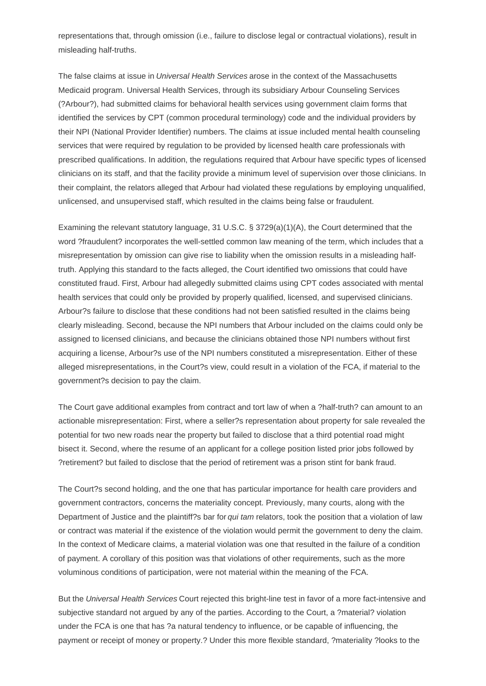representations that, through omission (i.e., failure to disclose legal or contractual violations), result in misleading half-truths.

The false claims at issue in Universal Health Services arose in the context of the Massachusetts Medicaid program. Universal Health Services, through its subsidiary Arbour Counseling Services (?Arbour?), had submitted claims for behavioral health services using government claim forms that identified the services by CPT (common procedural terminology) code and the individual providers by their NPI (National Provider Identifier) numbers. The claims at issue included mental health counseling services that were required by regulation to be provided by licensed health care professionals with prescribed qualifications. In addition, the regulations required that Arbour have specific types of licensed clinicians on its staff, and that the facility provide a minimum level of supervision over those clinicians. In their complaint, the relators alleged that Arbour had violated these regulations by employing unqualified, unlicensed, and unsupervised staff, which resulted in the claims being false or fraudulent.

Examining the relevant statutory language, 31 U.S.C. § 3729(a)(1)(A), the Court determined that the word ?fraudulent? incorporates the well-settled common law meaning of the term, which includes that a misrepresentation by omission can give rise to liability when the omission results in a misleading halftruth. Applying this standard to the facts alleged, the Court identified two omissions that could have constituted fraud. First, Arbour had allegedly submitted claims using CPT codes associated with mental health services that could only be provided by properly qualified, licensed, and supervised clinicians. Arbour?s failure to disclose that these conditions had not been satisfied resulted in the claims being clearly misleading. Second, because the NPI numbers that Arbour included on the claims could only be assigned to licensed clinicians, and because the clinicians obtained those NPI numbers without first acquiring a license, Arbour?s use of the NPI numbers constituted a misrepresentation. Either of these alleged misrepresentations, in the Court?s view, could result in a violation of the FCA, if material to the government?s decision to pay the claim.

The Court gave additional examples from contract and tort law of when a ?half-truth? can amount to an actionable misrepresentation: First, where a seller?s representation about property for sale revealed the potential for two new roads near the property but failed to disclose that a third potential road might bisect it. Second, where the resume of an applicant for a college position listed prior jobs followed by ?retirement? but failed to disclose that the period of retirement was a prison stint for bank fraud.

The Court?s second holding, and the one that has particular importance for health care providers and government contractors, concerns the materiality concept. Previously, many courts, along with the Department of Justice and the plaintiff?s bar for qui tam relators, took the position that a violation of law or contract was material if the existence of the violation would permit the government to deny the claim. In the context of Medicare claims, a material violation was one that resulted in the failure of a condition of payment. A corollary of this position was that violations of other requirements, such as the more voluminous conditions of participation, were not material within the meaning of the FCA.

But the Universal Health Services Court rejected this bright-line test in favor of a more fact-intensive and subjective standard not argued by any of the parties. According to the Court, a ?material? violation under the FCA is one that has ?a natural tendency to influence, or be capable of influencing, the payment or receipt of money or property.? Under this more flexible standard, ?materiality ?looks to the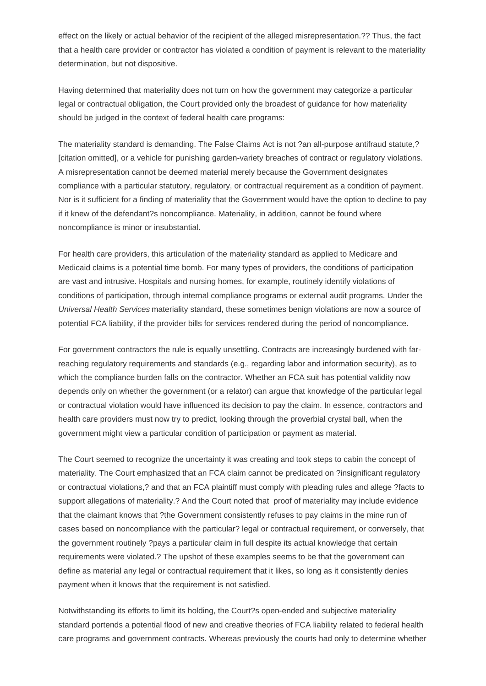effect on the likely or actual behavior of the recipient of the alleged misrepresentation.?? Thus, the fact that a health care provider or contractor has violated a condition of payment is relevant to the materiality determination, but not dispositive.

Having determined that materiality does not turn on how the government may categorize a particular legal or contractual obligation, the Court provided only the broadest of guidance for how materiality should be judged in the context of federal health care programs:

The materiality standard is demanding. The False Claims Act is not ?an all-purpose antifraud statute,? [citation omitted], or a vehicle for punishing garden-variety breaches of contract or regulatory violations. A misrepresentation cannot be deemed material merely because the Government designates compliance with a particular statutory, regulatory, or contractual requirement as a condition of payment. Nor is it sufficient for a finding of materiality that the Government would have the option to decline to pay if it knew of the defendant?s noncompliance. Materiality, in addition, cannot be found where noncompliance is minor or insubstantial.

For health care providers, this articulation of the materiality standard as applied to Medicare and Medicaid claims is a potential time bomb. For many types of providers, the conditions of participation are vast and intrusive. Hospitals and nursing homes, for example, routinely identify violations of conditions of participation, through internal compliance programs or external audit programs. Under the Universal Health Services materiality standard, these sometimes benign violations are now a source of potential FCA liability, if the provider bills for services rendered during the period of noncompliance.

For government contractors the rule is equally unsettling. Contracts are increasingly burdened with farreaching regulatory requirements and standards (e.g., regarding labor and information security), as to which the compliance burden falls on the contractor. Whether an FCA suit has potential validity now depends only on whether the government (or a relator) can argue that knowledge of the particular legal or contractual violation would have influenced its decision to pay the claim. In essence, contractors and health care providers must now try to predict, looking through the proverbial crystal ball, when the government might view a particular condition of participation or payment as material.

The Court seemed to recognize the uncertainty it was creating and took steps to cabin the concept of materiality. The Court emphasized that an FCA claim cannot be predicated on ?insignificant regulatory or contractual violations,? and that an FCA plaintiff must comply with pleading rules and allege ?facts to support allegations of materiality.? And the Court noted that proof of materiality may include evidence that the claimant knows that ?the Government consistently refuses to pay claims in the mine run of cases based on noncompliance with the particular? legal or contractual requirement, or conversely, that the government routinely ?pays a particular claim in full despite its actual knowledge that certain requirements were violated.? The upshot of these examples seems to be that the government can define as material any legal or contractual requirement that it likes, so long as it consistently denies payment when it knows that the requirement is not satisfied.

Notwithstanding its efforts to limit its holding, the Court?s open-ended and subjective materiality standard portends a potential flood of new and creative theories of FCA liability related to federal health care programs and government contracts. Whereas previously the courts had only to determine whether